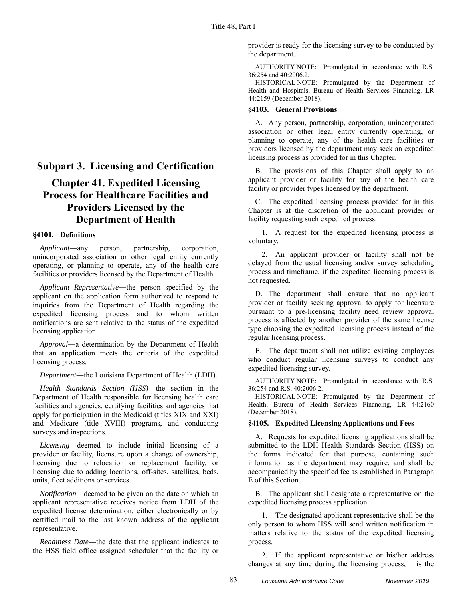## **Subpart 3. Licensing and Certification**

# **Chapter 41. Expedited Licensing Process for Healthcare Facilities and Providers Licensed by the Department of Health**

#### **§4101. Definitions**

*Applicant*―any person, partnership, corporation, unincorporated association or other legal entity currently operating, or planning to operate, any of the health care facilities or providers licensed by the Department of Health.

*Applicant Representative*―the person specified by the applicant on the application form authorized to respond to inquiries from the Department of Health regarding the expedited licensing process and to whom written notifications are sent relative to the status of the expedited licensing application.

*Approval*―a determination by the Department of Health that an application meets the criteria of the expedited licensing process.

*Department*―the Louisiana Department of Health (LDH).

*Health Standards Section (HSS)*—the section in the Department of Health responsible for licensing health care facilities and agencies, certifying facilities and agencies that apply for participation in the Medicaid (titles XIX and XXI) and Medicare (title XVIII) programs, and conducting surveys and inspections.

*Licensing*—deemed to include initial licensing of a provider or facility, licensure upon a change of ownership, licensing due to relocation or replacement facility, or licensing due to adding locations, off-sites, satellites, beds, units, fleet additions or services.

*Notification*―deemed to be given on the date on which an applicant representative receives notice from LDH of the expedited license determination, either electronically or by certified mail to the last known address of the applicant representative.

*Readiness Date*―the date that the applicant indicates to the HSS field office assigned scheduler that the facility or provider is ready for the licensing survey to be conducted by the department.

AUTHORITY NOTE: Promulgated in accordance with R.S. 36:254 and 40:2006.2.

HISTORICAL NOTE: Promulgated by the Department of Health and Hospitals, Bureau of Health Services Financing, LR 44:2159 (December 2018).

### **§4103. General Provisions**

A. Any person, partnership, corporation, unincorporated association or other legal entity currently operating, or planning to operate, any of the health care facilities or providers licensed by the department may seek an expedited licensing process as provided for in this Chapter.

B. The provisions of this Chapter shall apply to an applicant provider or facility for any of the health care facility or provider types licensed by the department.

C. The expedited licensing process provided for in this Chapter is at the discretion of the applicant provider or facility requesting such expedited process.

1. A request for the expedited licensing process is voluntary.

2. An applicant provider or facility shall not be delayed from the usual licensing and/or survey scheduling process and timeframe, if the expedited licensing process is not requested.

D. The department shall ensure that no applicant provider or facility seeking approval to apply for licensure pursuant to a pre-licensing facility need review approval process is affected by another provider of the same license type choosing the expedited licensing process instead of the regular licensing process.

E. The department shall not utilize existing employees who conduct regular licensing surveys to conduct any expedited licensing survey.

AUTHORITY NOTE: Promulgated in accordance with R.S. 36:254 and R.S. 40:2006.2.

HISTORICAL NOTE: Promulgated by the Department of Health, Bureau of Health Services Financing, LR 44:2160 (December 2018).

#### **§4105. Expedited Licensing Applications and Fees**

A. Requests for expedited licensing applications shall be submitted to the LDH Health Standards Section (HSS) on the forms indicated for that purpose, containing such information as the department may require, and shall be accompanied by the specified fee as established in Paragraph E of this Section.

B. The applicant shall designate a representative on the expedited licensing process application.

1. The designated applicant representative shall be the only person to whom HSS will send written notification in matters relative to the status of the expedited licensing process.

2. If the applicant representative or his/her address changes at any time during the licensing process, it is the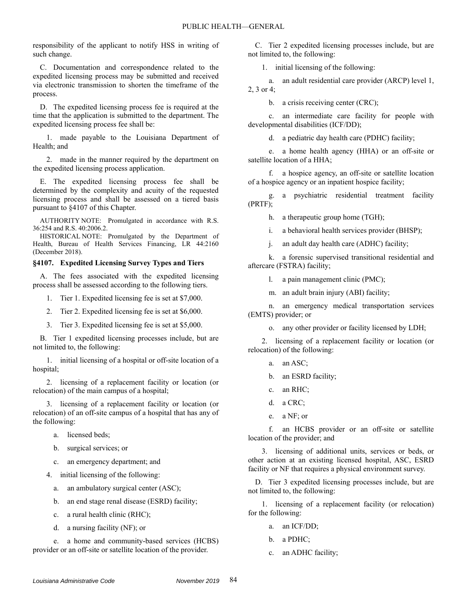responsibility of the applicant to notify HSS in writing of such change.

C. Documentation and correspondence related to the expedited licensing process may be submitted and received via electronic transmission to shorten the timeframe of the process.

D. The expedited licensing process fee is required at the time that the application is submitted to the department. The expedited licensing process fee shall be:

1. made payable to the Louisiana Department of Health; and

2. made in the manner required by the department on the expedited licensing process application.

E. The expedited licensing process fee shall be determined by the complexity and acuity of the requested licensing process and shall be assessed on a tiered basis pursuant to §4107 of this Chapter.

AUTHORITY NOTE: Promulgated in accordance with R.S. 36:254 and R.S. 40:2006.2.

HISTORICAL NOTE: Promulgated by the Department of Health, Bureau of Health Services Financing, LR 44:2160 (December 2018).

#### **§4107. Expedited Licensing Survey Types and Tiers**

A. The fees associated with the expedited licensing process shall be assessed according to the following tiers.

- 1. Tier 1. Expedited licensing fee is set at \$7,000.
- 2. Tier 2. Expedited licensing fee is set at \$6,000.
- 3. Tier 3. Expedited licensing fee is set at \$5,000.

B. Tier 1 expedited licensing processes include, but are not limited to, the following:

1. initial licensing of a hospital or off-site location of a hospital;

2. licensing of a replacement facility or location (or relocation) of the main campus of a hospital;

3. licensing of a replacement facility or location (or relocation) of an off-site campus of a hospital that has any of the following:

- a. licensed beds;
- b. surgical services; or
- c. an emergency department; and
- 4. initial licensing of the following:
	- a. an ambulatory surgical center (ASC);
	- b. an end stage renal disease (ESRD) facility;
	- c. a rural health clinic (RHC);
	- d. a nursing facility (NF); or

e. a home and community-based services (HCBS) provider or an off-site or satellite location of the provider.

C. Tier 2 expedited licensing processes include, but are not limited to, the following:

1. initial licensing of the following:

a. an adult residential care provider (ARCP) level 1, 2, 3 or 4;

b. a crisis receiving center (CRC);

c. an intermediate care facility for people with developmental disabilities (ICF/DD);

d. a pediatric day health care (PDHC) facility;

e. a home health agency (HHA) or an off-site or satellite location of a HHA;

f. a hospice agency, an off-site or satellite location of a hospice agency or an inpatient hospice facility;

g. a psychiatric residential treatment facility (PRTF);

h. a therapeutic group home (TGH);

i. a behavioral health services provider (BHSP);

j. an adult day health care (ADHC) facility;

k. a forensic supervised transitional residential and aftercare (FSTRA) facility;

l. a pain management clinic (PMC);

m. an adult brain injury (ABI) facility;

n. an emergency medical transportation services (EMTS) provider; or

o. any other provider or facility licensed by LDH;

2. licensing of a replacement facility or location (or relocation) of the following:

- a. an ASC;
- b. an ESRD facility;
- c. an RHC;
- d. a CRC;
- e. a NF; or

f. an HCBS provider or an off-site or satellite location of the provider; and

3. licensing of additional units, services or beds, or other action at an existing licensed hospital, ASC, ESRD facility or NF that requires a physical environment survey.

D. Tier 3 expedited licensing processes include, but are not limited to, the following:

1. licensing of a replacement facility (or relocation) for the following:

- a. an ICF/DD;
- b. a PDHC;
- c. an ADHC facility;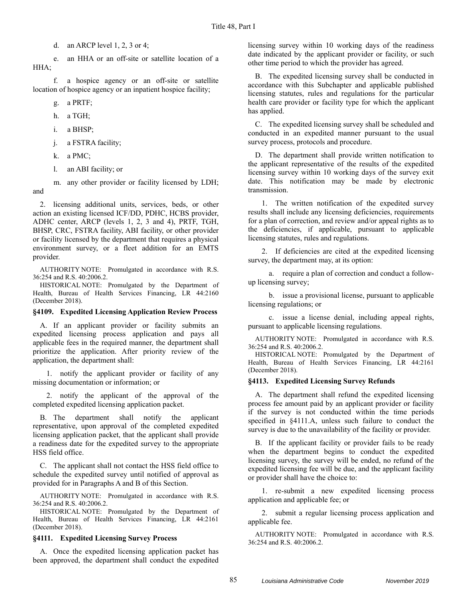d. an ARCP level 1, 2, 3 or 4;

e. an HHA or an off-site or satellite location of a HHA;

f. a hospice agency or an off-site or satellite location of hospice agency or an inpatient hospice facility;

g. a PRTF;

- h. a TGH;
- i. a BHSP;
- j. a FSTRA facility;
- k. a PMC;
- l. an ABI facility; or

m. any other provider or facility licensed by LDH; and

2. licensing additional units, services, beds, or other action an existing licensed ICF/DD, PDHC, HCBS provider, ADHC center, ARCP (levels 1, 2, 3 and 4), PRTF, TGH, BHSP, CRC, FSTRA facility, ABI facility, or other provider or facility licensed by the department that requires a physical environment survey, or a fleet addition for an EMTS provider.

AUTHORITY NOTE: Promulgated in accordance with R.S. 36:254 and R.S. 40:2006.2.

HISTORICAL NOTE: Promulgated by the Department of Health, Bureau of Health Services Financing, LR 44:2160 (December 2018).

#### **§4109. Expedited Licensing Application Review Process**

A. If an applicant provider or facility submits an expedited licensing process application and pays all applicable fees in the required manner, the department shall prioritize the application. After priority review of the application, the department shall:

1. notify the applicant provider or facility of any missing documentation or information; or

2. notify the applicant of the approval of the completed expedited licensing application packet.

B. The department shall notify the applicant representative, upon approval of the completed expedited licensing application packet, that the applicant shall provide a readiness date for the expedited survey to the appropriate HSS field office.

C. The applicant shall not contact the HSS field office to schedule the expedited survey until notified of approval as provided for in Paragraphs A and B of this Section.

AUTHORITY NOTE: Promulgated in accordance with R.S. 36:254 and R.S. 40:2006.2.

HISTORICAL NOTE: Promulgated by the Department of Health, Bureau of Health Services Financing, LR 44:2161 (December 2018).

#### **§4111. Expedited Licensing Survey Process**

A. Once the expedited licensing application packet has been approved, the department shall conduct the expedited

licensing survey within 10 working days of the readiness date indicated by the applicant provider or facility, or such other time period to which the provider has agreed.

B. The expedited licensing survey shall be conducted in accordance with this Subchapter and applicable published licensing statutes, rules and regulations for the particular health care provider or facility type for which the applicant has applied.

C. The expedited licensing survey shall be scheduled and conducted in an expedited manner pursuant to the usual survey process, protocols and procedure.

D. The department shall provide written notification to the applicant representative of the results of the expedited licensing survey within 10 working days of the survey exit date. This notification may be made by electronic transmission.

1. The written notification of the expedited survey results shall include any licensing deficiencies, requirements for a plan of correction, and review and/or appeal rights as to the deficiencies, if applicable, pursuant to applicable licensing statutes, rules and regulations.

2. If deficiencies are cited at the expedited licensing survey, the department may, at its option:

a. require a plan of correction and conduct a followup licensing survey;

b. issue a provisional license, pursuant to applicable licensing regulations; or

c. issue a license denial, including appeal rights, pursuant to applicable licensing regulations.

AUTHORITY NOTE: Promulgated in accordance with R.S. 36:254 and R.S. 40:2006.2.

HISTORICAL NOTE: Promulgated by the Department of Health, Bureau of Health Services Financing, LR 44:2161 (December 2018).

#### **§4113. Expedited Licensing Survey Refunds**

A. The department shall refund the expedited licensing process fee amount paid by an applicant provider or facility if the survey is not conducted within the time periods specified in §4111.A, unless such failure to conduct the survey is due to the unavailability of the facility or provider.

B. If the applicant facility or provider fails to be ready when the department begins to conduct the expedited licensing survey, the survey will be ended, no refund of the expedited licensing fee will be due, and the applicant facility or provider shall have the choice to:

1. re-submit a new expedited licensing process application and applicable fee; or

2. submit a regular licensing process application and applicable fee.

AUTHORITY NOTE: Promulgated in accordance with R.S. 36:254 and R.S. 40:2006.2.